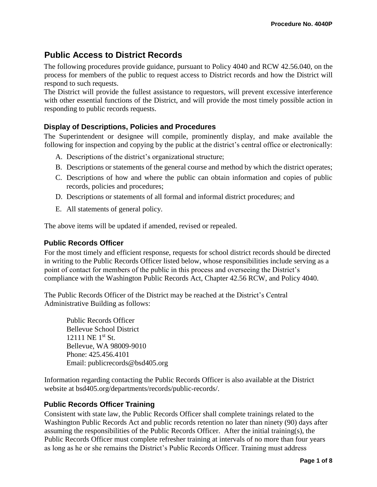# **Public Access to District Records**

The following procedures provide guidance, pursuant to Policy 4040 and RCW 42.56.040, on the process for members of the public to request access to District records and how the District will respond to such requests.

The District will provide the fullest assistance to requestors, will prevent excessive interference with other essential functions of the District, and will provide the most timely possible action in responding to public records requests.

# **Display of Descriptions, Policies and Procedures**

The Superintendent or designee will compile, prominently display, and make available the following for inspection and copying by the public at the district's central office or electronically:

- A. Descriptions of the district's organizational structure;
- B. Descriptions or statements of the general course and method by which the district operates;
- C. Descriptions of how and where the public can obtain information and copies of public records, policies and procedures;
- D. Descriptions or statements of all formal and informal district procedures; and
- E. All statements of general policy.

The above items will be updated if amended, revised or repealed.

#### **Public Records Officer**

For the most timely and efficient response, requests for school district records should be directed in writing to the Public Records Officer listed below, whose responsibilities include serving as a point of contact for members of the public in this process and overseeing the District's compliance with the Washington Public Records Act, Chapter 42.56 RCW, and Policy 4040.

The Public Records Officer of the District may be reached at the District's Central Administrative Building as follows:

Public Records Officer Bellevue School District 12111 NE 1<sup>st</sup> St. Bellevue, WA 98009-9010 Phone: 425.456.4101 Email: publicrecords@bsd405.org

Information regarding contacting the Public Records Officer is also available at the District website at bsd405.org/departments/records/public-records/.

#### **Public Records Officer Training**

Consistent with state law, the Public Records Officer shall complete trainings related to the Washington Public Records Act and public records retention no later than ninety (90) days after assuming the responsibilities of the Public Records Officer. After the initial training(s), the Public Records Officer must complete refresher training at intervals of no more than four years as long as he or she remains the District's Public Records Officer. Training must address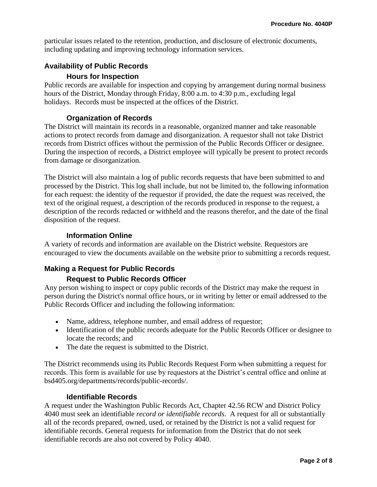particular issues related to the retention, production, and disclosure of electronic documents, including updating and improving technology information services.

# **Availability of Public Records**

## **Hours for Inspection**

Public records are available for inspection and copying by arrangement during normal business hours of the District, Monday through Friday, 8:00 a.m. to 4:30 p.m., excluding legal holidays. Records must be inspected at the offices of the District.

# **Organization of Records**

The District will maintain its records in a reasonable, organized manner and take reasonable actions to protect records from damage and disorganization. A requestor shall not take District records from District offices without the permission of the Public Records Officer or designee. During the inspection of records, a District employee will typically be present to protect records from damage or disorganization.

The District will also maintain a log of public records requests that have been submitted to and processed by the District. This log shall include, but not be limited to, the following information for each request: the identity of the requestor if provided, the date the request was received, the text of the original request, a description of the records produced in response to the request, a description of the records redacted or withheld and the reasons therefor, and the date of the final disposition of the request.

## **Information Online**

A variety of records and information are available on the District website. Requestors are encouraged to view the documents available on the website prior to submitting a records request.

# **Making a Request for Public Records**

# **Request to Public Records Officer**

Any person wishing to inspect or copy public records of the District may make the request in person during the District's normal office hours, or in writing by letter or email addressed to the Public Records Officer and including the following information:

- Name, address, telephone number, and email address of requestor;
- Identification of the public records adequate for the Public Records Officer or designee to locate the records; and
- The date the request is submitted to the District.

The District recommends using its Public Records Request Form when submitting a request for records. This form is available for use by requestors at the District's central office and online at bsd405.org/departments/records/public-records/.

#### **Identifiable Records**

A request under the Washington Public Records Act, Chapter 42.56 RCW and District Policy 4040 must seek an identifiable *record or identifiable records*. A request for all or substantially all of the records prepared, owned, used, or retained by the District is not a valid request for identifiable records. General requests for information from the District that do not seek identifiable records are also not covered by Policy 4040.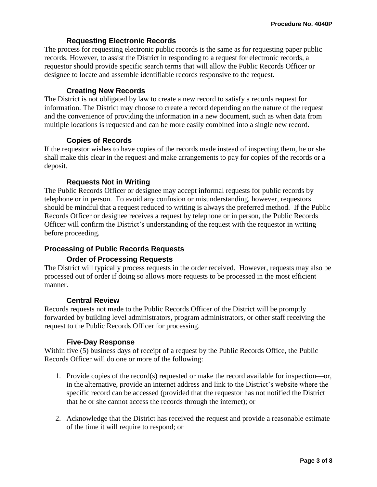## **Requesting Electronic Records**

The process for requesting electronic public records is the same as for requesting paper public records. However, to assist the District in responding to a request for electronic records, a requestor should provide specific search terms that will allow the Public Records Officer or designee to locate and assemble identifiable records responsive to the request.

#### **Creating New Records**

The District is not obligated by law to create a new record to satisfy a records request for information. The District may choose to create a record depending on the nature of the request and the convenience of providing the information in a new document, such as when data from multiple locations is requested and can be more easily combined into a single new record.

#### **Copies of Records**

If the requestor wishes to have copies of the records made instead of inspecting them, he or she shall make this clear in the request and make arrangements to pay for copies of the records or a deposit.

#### **Requests Not in Writing**

The Public Records Officer or designee may accept informal requests for public records by telephone or in person. To avoid any confusion or misunderstanding, however, requestors should be mindful that a request reduced to writing is always the preferred method. If the Public Records Officer or designee receives a request by telephone or in person, the Public Records Officer will confirm the District's understanding of the request with the requestor in writing before proceeding.

#### **Processing of Public Records Requests**

#### **Order of Processing Requests**

The District will typically process requests in the order received. However, requests may also be processed out of order if doing so allows more requests to be processed in the most efficient manner.

#### **Central Review**

Records requests not made to the Public Records Officer of the District will be promptly forwarded by building level administrators, program administrators, or other staff receiving the request to the Public Records Officer for processing.

#### **Five-Day Response**

Within five (5) business days of receipt of a request by the Public Records Office, the Public Records Officer will do one or more of the following:

- 1. Provide copies of the record(s) requested or make the record available for inspection—or, in the alternative, provide an internet address and link to the District's website where the specific record can be accessed (provided that the requestor has not notified the District that he or she cannot access the records through the internet); or
- 2. Acknowledge that the District has received the request and provide a reasonable estimate of the time it will require to respond; or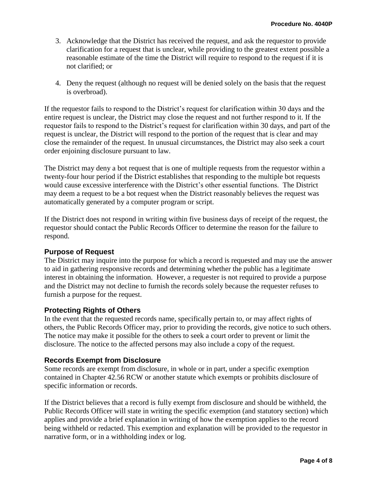- 3. Acknowledge that the District has received the request, and ask the requestor to provide clarification for a request that is unclear, while providing to the greatest extent possible a reasonable estimate of the time the District will require to respond to the request if it is not clarified; or
- 4. Deny the request (although no request will be denied solely on the basis that the request is overbroad).

If the requestor fails to respond to the District's request for clarification within 30 days and the entire request is unclear, the District may close the request and not further respond to it. If the requestor fails to respond to the District's request for clarification within 30 days, and part of the request is unclear, the District will respond to the portion of the request that is clear and may close the remainder of the request. In unusual circumstances, the District may also seek a court order enjoining disclosure pursuant to law.

The District may deny a bot request that is one of multiple requests from the requestor within a twenty-four hour period if the District establishes that responding to the multiple bot requests would cause excessive interference with the District's other essential functions. The District may deem a request to be a bot request when the District reasonably believes the request was automatically generated by a computer program or script.

If the District does not respond in writing within five business days of receipt of the request, the requestor should contact the Public Records Officer to determine the reason for the failure to respond.

#### **Purpose of Request**

The District may inquire into the purpose for which a record is requested and may use the answer to aid in gathering responsive records and determining whether the public has a legitimate interest in obtaining the information. However, a requester is not required to provide a purpose and the District may not decline to furnish the records solely because the requester refuses to furnish a purpose for the request.

#### **Protecting Rights of Others**

In the event that the requested records name, specifically pertain to, or may affect rights of others, the Public Records Officer may, prior to providing the records, give notice to such others. The notice may make it possible for the others to seek a court order to prevent or limit the disclosure. The notice to the affected persons may also include a copy of the request.

#### **Records Exempt from Disclosure**

Some records are exempt from disclosure, in whole or in part, under a specific exemption contained in Chapter 42.56 RCW or another statute which exempts or prohibits disclosure of specific information or records.

If the District believes that a record is fully exempt from disclosure and should be withheld, the Public Records Officer will state in writing the specific exemption (and statutory section) which applies and provide a brief explanation in writing of how the exemption applies to the record being withheld or redacted. This exemption and explanation will be provided to the requestor in narrative form, or in a withholding index or log.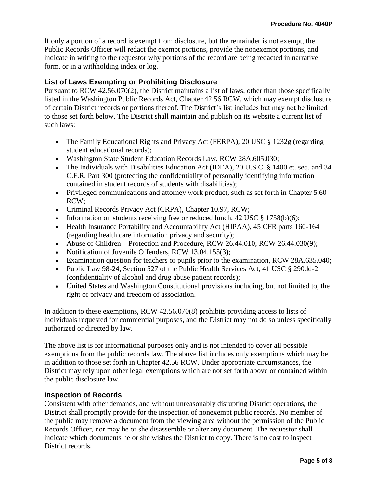If only a portion of a record is exempt from disclosure, but the remainder is not exempt, the Public Records Officer will redact the exempt portions, provide the nonexempt portions, and indicate in writing to the requestor why portions of the record are being redacted in narrative form, or in a withholding index or log.

### **List of Laws Exempting or Prohibiting Disclosure**

Pursuant to RCW 42.56.070(2), the District maintains a list of laws, other than those specifically listed in the Washington Public Records Act, Chapter 42.56 RCW, which may exempt disclosure of certain District records or portions thereof. The District's list includes but may not be limited to those set forth below. The District shall maintain and publish on its website a current list of such laws:

- The Family Educational Rights and Privacy Act (FERPA), 20 USC § 1232g (regarding student educational records);
- Washington State Student Education Records Law, RCW 28A.605.030;
- The Individuals with Disabilities Education Act (IDEA), 20 U.S.C. § 1400 et. seq. and 34 C.F.R. Part 300 (protecting the confidentiality of personally identifying information contained in student records of students with disabilities);
- Privileged communications and attorney work product, such as set forth in Chapter 5.60 RCW;
- Criminal Records Privacy Act (CRPA), Chapter 10.97, RCW;
- Information on students receiving free or reduced lunch, 42 USC  $\S$  1758(b)(6);
- Health Insurance Portability and Accountability Act (HIPAA), 45 CFR parts 160-164 (regarding health care information privacy and security);
- Abuse of Children Protection and Procedure, RCW 26.44.010; RCW 26.44.030(9);
- Notification of Juvenile Offenders, RCW 13.04.155(3);
- Examination question for teachers or pupils prior to the examination, RCW 28A.635.040;
- Public Law 98-24, Section 527 of the Public Health Services Act, 41 USC § 290dd-2 (confidentiality of alcohol and drug abuse patient records);
- United States and Washington Constitutional provisions including, but not limited to, the right of privacy and freedom of association.

In addition to these exemptions, RCW 42.56.070(8) prohibits providing access to lists of individuals requested for commercial purposes, and the District may not do so unless specifically authorized or directed by law.

The above list is for informational purposes only and is not intended to cover all possible exemptions from the public records law. The above list includes only exemptions which may be in addition to those set forth in Chapter 42.56 RCW. Under appropriate circumstances, the District may rely upon other legal exemptions which are not set forth above or contained within the public disclosure law.

#### **Inspection of Records**

Consistent with other demands, and without unreasonably disrupting District operations, the District shall promptly provide for the inspection of nonexempt public records. No member of the public may remove a document from the viewing area without the permission of the Public Records Officer, nor may he or she disassemble or alter any document. The requestor shall indicate which documents he or she wishes the District to copy. There is no cost to inspect District records.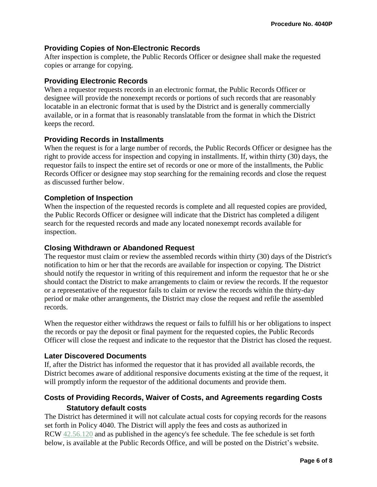# **Providing Copies of Non-Electronic Records**

After inspection is complete, the Public Records Officer or designee shall make the requested copies or arrange for copying.

## **Providing Electronic Records**

When a requestor requests records in an electronic format, the Public Records Officer or designee will provide the nonexempt records or portions of such records that are reasonably locatable in an electronic format that is used by the District and is generally commercially available, or in a format that is reasonably translatable from the format in which the District keeps the record.

## **Providing Records in Installments**

When the request is for a large number of records, the Public Records Officer or designee has the right to provide access for inspection and copying in installments. If, within thirty (30) days, the requestor fails to inspect the entire set of records or one or more of the installments, the Public Records Officer or designee may stop searching for the remaining records and close the request as discussed further below.

## **Completion of Inspection**

When the inspection of the requested records is complete and all requested copies are provided, the Public Records Officer or designee will indicate that the District has completed a diligent search for the requested records and made any located nonexempt records available for inspection.

#### **Closing Withdrawn or Abandoned Request**

The requestor must claim or review the assembled records within thirty (30) days of the District's notification to him or her that the records are available for inspection or copying. The District should notify the requestor in writing of this requirement and inform the requestor that he or she should contact the District to make arrangements to claim or review the records. If the requestor or a representative of the requestor fails to claim or review the records within the thirty-day period or make other arrangements, the District may close the request and refile the assembled records.

When the requestor either withdraws the request or fails to fulfill his or her obligations to inspect the records or pay the deposit or final payment for the requested copies, the Public Records Officer will close the request and indicate to the requestor that the District has closed the request.

#### **Later Discovered Documents**

If, after the District has informed the requestor that it has provided all available records, the District becomes aware of additional responsive documents existing at the time of the request, it will promptly inform the requestor of the additional documents and provide them.

# **Costs of Providing Records, Waiver of Costs, and Agreements regarding Costs Statutory default costs**

The District has determined it will not calculate actual costs for copying records for the reasons set forth in Policy 4040. The District will apply the fees and costs as authorized in RCW  $42.56.120$  and as published in the agency's fee schedule. The fee schedule is set forth below, is available at the Public Records Office, and will be posted on the District's website.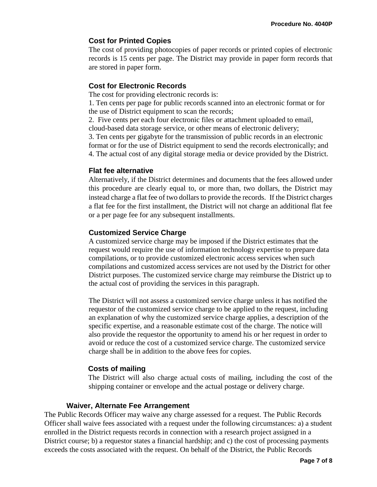# **Cost for Printed Copies**

The cost of providing photocopies of paper records or printed copies of electronic records is 15 cents per page. The District may provide in paper form records that are stored in paper form.

#### **Cost for Electronic Records**

The cost for providing electronic records is:

1. Ten cents per page for public records scanned into an electronic format or for the use of District equipment to scan the records;

2. Five cents per each four electronic files or attachment uploaded to email, cloud-based data storage service, or other means of electronic delivery;

3. Ten cents per gigabyte for the transmission of public records in an electronic format or for the use of District equipment to send the records electronically; and 4. The actual cost of any digital storage media or device provided by the District.

#### **Flat fee alternative**

Alternatively, if the District determines and documents that the fees allowed under this procedure are clearly equal to, or more than, two dollars, the District may instead charge a flat fee of two dollars to provide the records. If the District charges a flat fee for the first installment, the District will not charge an additional flat fee or a per page fee for any subsequent installments.

# **Customized Service Charge**

A customized service charge may be imposed if the District estimates that the request would require the use of information technology expertise to prepare data compilations, or to provide customized electronic access services when such compilations and customized access services are not used by the District for other District purposes. The customized service charge may reimburse the District up to the actual cost of providing the services in this paragraph.

The District will not assess a customized service charge unless it has notified the requestor of the customized service charge to be applied to the request, including an explanation of why the customized service charge applies, a description of the specific expertise, and a reasonable estimate cost of the charge. The notice will also provide the requestor the opportunity to amend his or her request in order to avoid or reduce the cost of a customized service charge. The customized service charge shall be in addition to the above fees for copies.

# **Costs of mailing**

The District will also charge actual costs of mailing, including the cost of the shipping container or envelope and the actual postage or delivery charge.

#### **Waiver, Alternate Fee Arrangement**

The Public Records Officer may waive any charge assessed for a request. The Public Records Officer shall waive fees associated with a request under the following circumstances: a) a student enrolled in the District requests records in connection with a research project assigned in a District course; b) a requestor states a financial hardship; and c) the cost of processing payments exceeds the costs associated with the request. On behalf of the District, the Public Records